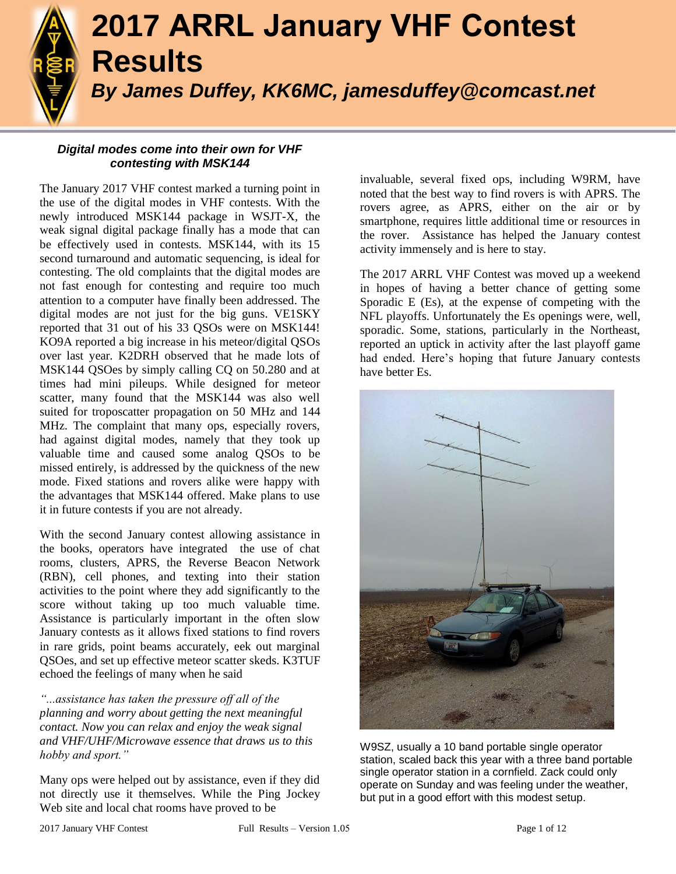

# **2017 ARRL January VHF Contest Results** *By James Duffey, KK6MC, jamesduffey@comcast.net*

# *Digital modes come into their own for VHF contesting with MSK144*

The January 2017 VHF contest marked a turning point in the use of the digital modes in VHF contests. With the newly introduced MSK144 package in WSJT-X, the weak signal digital package finally has a mode that can be effectively used in contests. MSK144, with its 15 second turnaround and automatic sequencing, is ideal for contesting. The old complaints that the digital modes are not fast enough for contesting and require too much attention to a computer have finally been addressed. The digital modes are not just for the big guns. VE1SKY reported that 31 out of his 33 QSOs were on MSK144! KO9A reported a big increase in his meteor/digital QSOs over last year. K2DRH observed that he made lots of MSK144 QSOes by simply calling CQ on 50.280 and at times had mini pileups. While designed for meteor scatter, many found that the MSK144 was also well suited for troposcatter propagation on 50 MHz and 144 MHz. The complaint that many ops, especially rovers, had against digital modes, namely that they took up valuable time and caused some analog QSOs to be missed entirely, is addressed by the quickness of the new mode. Fixed stations and rovers alike were happy with the advantages that MSK144 offered. Make plans to use it in future contests if you are not already.

With the second January contest allowing assistance in the books, operators have integrated the use of chat rooms, clusters, APRS, the Reverse Beacon Network (RBN), cell phones, and texting into their station activities to the point where they add significantly to the score without taking up too much valuable time. Assistance is particularly important in the often slow January contests as it allows fixed stations to find rovers in rare grids, point beams accurately, eek out marginal QSOes, and set up effective meteor scatter skeds. K3TUF echoed the feelings of many when he said

*"...assistance has taken the pressure off all of the planning and worry about getting the next meaningful contact. Now you can relax and enjoy the weak signal and VHF/UHF/Microwave essence that draws us to this hobby and sport."*

Many ops were helped out by assistance, even if they did not directly use it themselves. While the Ping Jockey Web site and local chat rooms have proved to be

invaluable, several fixed ops, including W9RM, have noted that the best way to find rovers is with APRS. The rovers agree, as APRS, either on the air or by smartphone, requires little additional time or resources in the rover. Assistance has helped the January contest activity immensely and is here to stay.

The 2017 ARRL VHF Contest was moved up a weekend in hopes of having a better chance of getting some Sporadic E (Es), at the expense of competing with the NFL playoffs. Unfortunately the Es openings were, well, sporadic. Some, stations, particularly in the Northeast, reported an uptick in activity after the last playoff game had ended. Here's hoping that future January contests have better Es.



W9SZ, usually a 10 band portable single operator station, scaled back this year with a three band portable single operator station in a cornfield. Zack could only operate on Sunday and was feeling under the weather, but put in a good effort with this modest setup.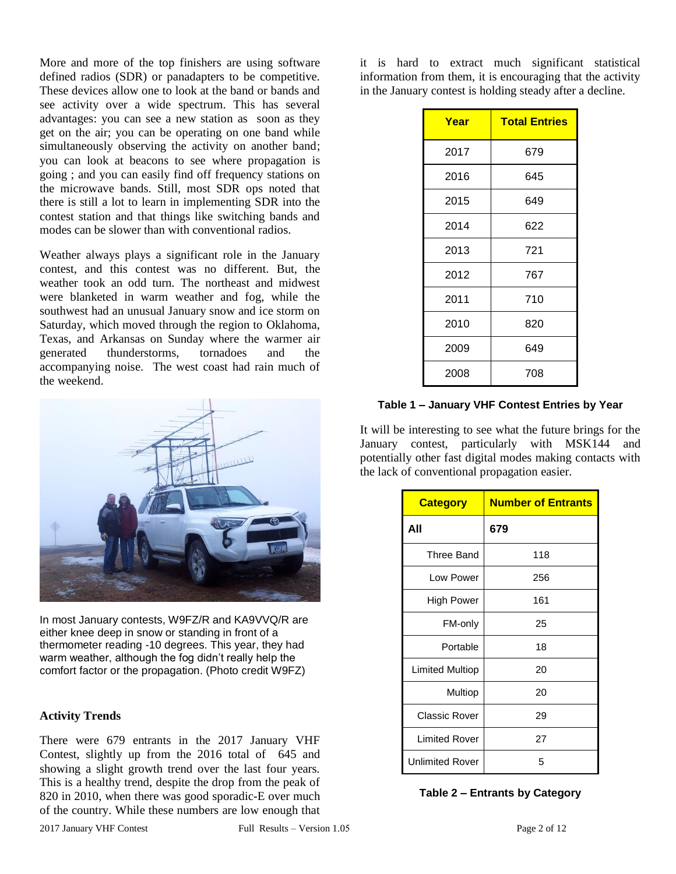More and more of the top finishers are using software defined radios (SDR) or panadapters to be competitive. These devices allow one to look at the band or bands and see activity over a wide spectrum. This has several advantages: you can see a new station as soon as they get on the air; you can be operating on one band while simultaneously observing the activity on another band; you can look at beacons to see where propagation is going ; and you can easily find off frequency stations on the microwave bands. Still, most SDR ops noted that there is still a lot to learn in implementing SDR into the contest station and that things like switching bands and modes can be slower than with conventional radios.

Weather always plays a significant role in the January contest, and this contest was no different. But, the weather took an odd turn. The northeast and midwest were blanketed in warm weather and fog, while the southwest had an unusual January snow and ice storm on Saturday, which moved through the region to Oklahoma, Texas, and Arkansas on Sunday where the warmer air generated thunderstorms, tornadoes and the accompanying noise. The west coast had rain much of the weekend.



In most January contests, W9FZ/R and KA9VVQ/R are either knee deep in snow or standing in front of a thermometer reading -10 degrees. This year, they had warm weather, although the fog didn't really help the comfort factor or the propagation. (Photo credit W9FZ)

### **Activity Trends**

There were 679 entrants in the 2017 January VHF Contest, slightly up from the 2016 total of 645 and showing a slight growth trend over the last four years. This is a healthy trend, despite the drop from the peak of 820 in 2010, when there was good sporadic-E over much of the country. While these numbers are low enough that

it is hard to extract much significant statistical information from them, it is encouraging that the activity in the January contest is holding steady after a decline.

| Year | <b>Total Entries</b> |
|------|----------------------|
| 2017 | 679                  |
| 2016 | 645                  |
| 2015 | 649                  |
| 2014 | 622                  |
| 2013 | 721                  |
| 2012 | 767                  |
| 2011 | 710                  |
| 2010 | 820                  |
| 2009 | 649                  |
| 2008 | 708                  |

#### **Table 1 – January VHF Contest Entries by Year**

It will be interesting to see what the future brings for the January contest, particularly with MSK144 and potentially other fast digital modes making contacts with the lack of conventional propagation easier.

| <b>Category</b>        | <b>Number of Entrants</b> |
|------------------------|---------------------------|
| All                    | 679                       |
| Three Band             | 118                       |
| Low Power              | 256                       |
| High Power             | 161                       |
| FM-only                | 25                        |
| Portable               | 18                        |
| Limited Multiop        | 20                        |
| Multiop                | 20                        |
| <b>Classic Rover</b>   | 29                        |
| <b>Limited Rover</b>   | 27                        |
| <b>Unlimited Rover</b> | 5                         |

**Table 2 – Entrants by Category**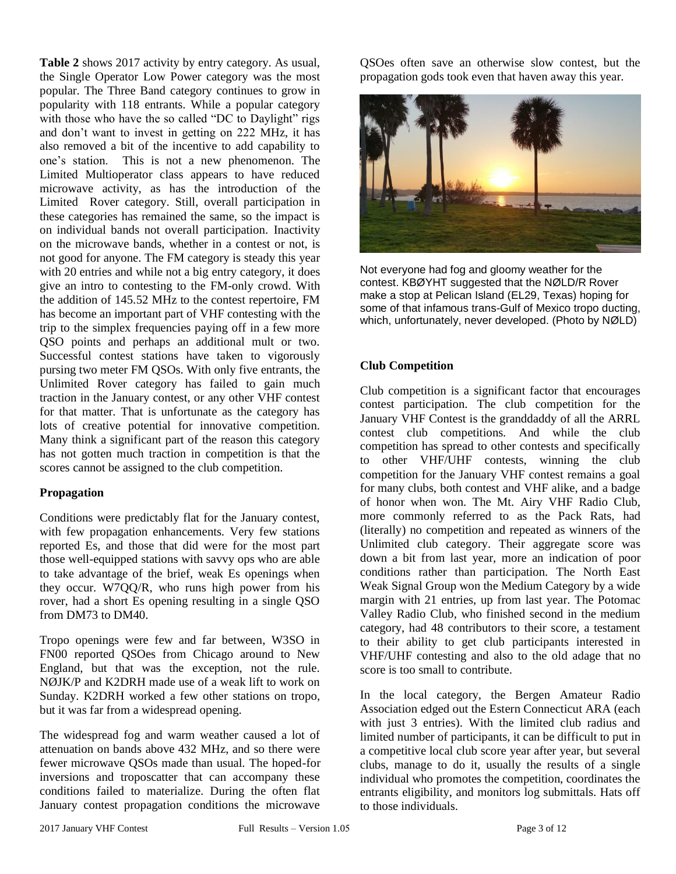**Table 2** shows 2017 activity by entry category. As usual, the Single Operator Low Power category was the most popular. The Three Band category continues to grow in popularity with 118 entrants. While a popular category with those who have the so called "DC to Daylight" rigs and don't want to invest in getting on 222 MHz, it has also removed a bit of the incentive to add capability to one's station. This is not a new phenomenon. The Limited Multioperator class appears to have reduced microwave activity, as has the introduction of the Limited Rover category. Still, overall participation in these categories has remained the same, so the impact is on individual bands not overall participation. Inactivity on the microwave bands, whether in a contest or not, is not good for anyone. The FM category is steady this year with 20 entries and while not a big entry category, it does give an intro to contesting to the FM-only crowd. With the addition of 145.52 MHz to the contest repertoire, FM has become an important part of VHF contesting with the trip to the simplex frequencies paying off in a few more QSO points and perhaps an additional mult or two. Successful contest stations have taken to vigorously pursing two meter FM QSOs. With only five entrants, the Unlimited Rover category has failed to gain much traction in the January contest, or any other VHF contest for that matter. That is unfortunate as the category has lots of creative potential for innovative competition. Many think a significant part of the reason this category has not gotten much traction in competition is that the scores cannot be assigned to the club competition.

## **Propagation**

Conditions were predictably flat for the January contest, with few propagation enhancements. Very few stations reported Es, and those that did were for the most part those well-equipped stations with savvy ops who are able to take advantage of the brief, weak Es openings when they occur. W7QQ/R, who runs high power from his rover, had a short Es opening resulting in a single QSO from DM73 to DM40.

Tropo openings were few and far between, W3SO in FN00 reported QSOes from Chicago around to New England, but that was the exception, not the rule. NØJK/P and K2DRH made use of a weak lift to work on Sunday. K2DRH worked a few other stations on tropo, but it was far from a widespread opening.

The widespread fog and warm weather caused a lot of attenuation on bands above 432 MHz, and so there were fewer microwave QSOs made than usual. The hoped-for inversions and troposcatter that can accompany these conditions failed to materialize. During the often flat January contest propagation conditions the microwave

QSOes often save an otherwise slow contest, but the propagation gods took even that haven away this year.



Not everyone had fog and gloomy weather for the contest. KBØYHT suggested that the NØLD/R Rover make a stop at Pelican Island (EL29, Texas) hoping for some of that infamous trans-Gulf of Mexico tropo ducting, which, unfortunately, never developed. (Photo by NØLD)

# **Club Competition**

Club competition is a significant factor that encourages contest participation. The club competition for the January VHF Contest is the granddaddy of all the ARRL contest club competitions. And while the club competition has spread to other contests and specifically to other VHF/UHF contests, winning the club competition for the January VHF contest remains a goal for many clubs, both contest and VHF alike, and a badge of honor when won. The Mt. Airy VHF Radio Club, more commonly referred to as the Pack Rats, had (literally) no competition and repeated as winners of the Unlimited club category. Their aggregate score was down a bit from last year, more an indication of poor conditions rather than participation. The North East Weak Signal Group won the Medium Category by a wide margin with 21 entries, up from last year. The Potomac Valley Radio Club, who finished second in the medium category, had 48 contributors to their score, a testament to their ability to get club participants interested in VHF/UHF contesting and also to the old adage that no score is too small to contribute.

In the local category, the Bergen Amateur Radio Association edged out the Estern Connecticut ARA (each with just 3 entries). With the limited club radius and limited number of participants, it can be difficult to put in a competitive local club score year after year, but several clubs, manage to do it, usually the results of a single individual who promotes the competition, coordinates the entrants eligibility, and monitors log submittals. Hats off to those individuals.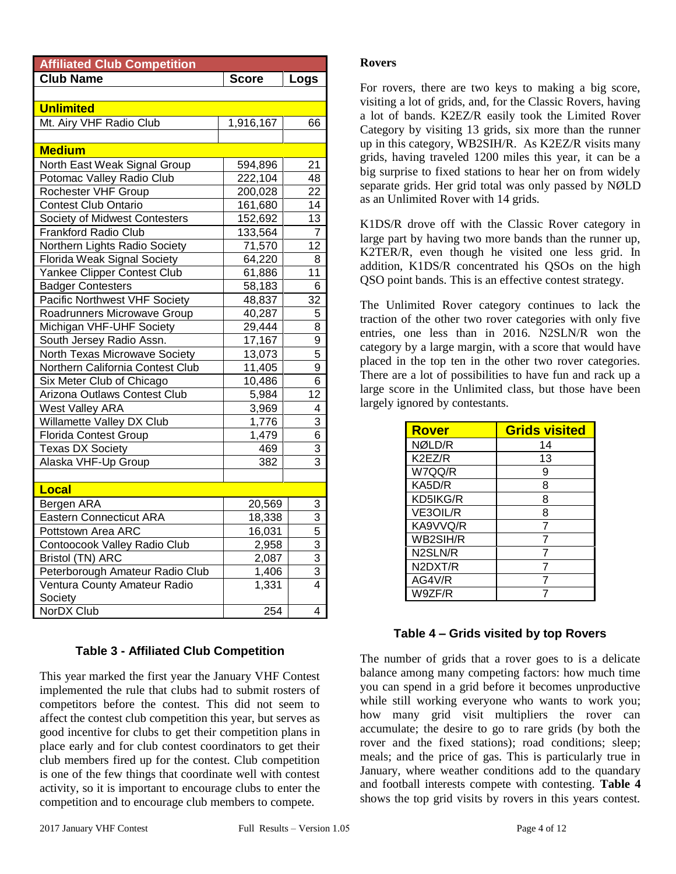| <b>Affiliated Club Competition</b>   |              |                 |
|--------------------------------------|--------------|-----------------|
| <b>Club Name</b>                     | <b>Score</b> | Logs            |
|                                      |              |                 |
| <b>Unlimited</b>                     |              |                 |
| Mt. Airy VHF Radio Club              | 1,916,167    | 66              |
|                                      |              |                 |
| <b>Medium</b>                        |              |                 |
| North East Weak Signal Group         | 594,896      | 21              |
| Potomac Valley Radio Club            | 222,104      | 48              |
| Rochester VHF Group                  | 200,028      | 22              |
| <b>Contest Club Ontario</b>          | 161,680      | 14              |
| Society of Midwest Contesters        | 152,692      | 13              |
| Frankford Radio Club                 | 133,564      | 7               |
| Northern Lights Radio Society        | 71,570       | 12              |
| <b>Florida Weak Signal Society</b>   | 64,220       | 8               |
| Yankee Clipper Contest Club          | 61,886       | $\overline{11}$ |
| <b>Badger Contesters</b>             | 58,183       | 6               |
| <b>Pacific Northwest VHF Society</b> | 48,837       | 32              |
| Roadrunners Microwave Group          | 40,287       | 5               |
| Michigan VHF-UHF Society             | 29,444       | 8               |
| South Jersey Radio Assn.             | 17,167       | 9               |
| North Texas Microwave Society        | 13,073       | 5               |
| Northern California Contest Club     | 11,405       | 9               |
| Six Meter Club of Chicago            | 10,486       | 6               |
| Arizona Outlaws Contest Club         | 5,984        | 12              |
| <b>West Valley ARA</b>               | 3,969        | 4               |
| Willamette Valley DX Club            | 1,776        | 3               |
| Florida Contest Group                | 1,479        | 6               |
| <b>Texas DX Society</b>              | 469          | 3               |
| Alaska VHF-Up Group                  | 382          | 3               |
|                                      |              |                 |
| Local                                |              |                 |
| Bergen ARA                           | 20,569       | 3               |
| <b>Eastern Connecticut ARA</b>       | 18,338       | 3               |
| Pottstown Area ARC                   | 16,031       | 5               |
| Contoocook Valley Radio Club         | 2,958        | 3               |
| Bristol (TN) ARC                     | 2,087        | 3               |
| Peterborough Amateur Radio Club      | 1,406        | 3               |
| Ventura County Amateur Radio         | 1,331        | 4               |
| Society                              |              |                 |
| <b>NorDX Club</b>                    | 254          | 4               |

# **Table 3 - Affiliated Club Competition**

This year marked the first year the January VHF Contest implemented the rule that clubs had to submit rosters of competitors before the contest. This did not seem to affect the contest club competition this year, but serves as good incentive for clubs to get their competition plans in place early and for club contest coordinators to get their club members fired up for the contest. Club competition is one of the few things that coordinate well with contest activity, so it is important to encourage clubs to enter the competition and to encourage club members to compete.

### **Rovers**

For rovers, there are two keys to making a big score, visiting a lot of grids, and, for the Classic Rovers, having a lot of bands. K2EZ/R easily took the Limited Rover Category by visiting 13 grids, six more than the runner up in this category, WB2SIH/R. As K2EZ/R visits many grids, having traveled 1200 miles this year, it can be a big surprise to fixed stations to hear her on from widely separate grids. Her grid total was only passed by NØLD as an Unlimited Rover with 14 grids.

K1DS/R drove off with the Classic Rover category in large part by having two more bands than the runner up, K2TER/R, even though he visited one less grid. In addition, K1DS/R concentrated his QSOs on the high QSO point bands. This is an effective contest strategy.

The Unlimited Rover category continues to lack the traction of the other two rover categories with only five entries, one less than in 2016. N2SLN/R won the category by a large margin, with a score that would have placed in the top ten in the other two rover categories. There are a lot of possibilities to have fun and rack up a large score in the Unlimited class, but those have been largely ignored by contestants.

| <b>Rover</b> | <b>Grids visited</b> |
|--------------|----------------------|
| NØLD/R       | 14                   |
| K2EZ/R       | 13                   |
| W7QQ/R       | 9                    |
| KA5D/R       | 8                    |
| KD5IKG/R     | 8                    |
| VE3OIL/R     | 8                    |
| KA9VVQ/R     | 7                    |
| WB2SIH/R     | 7                    |
| N2SLN/R      | 7                    |
| N2DXT/R      | 7                    |
| AG4V/R       |                      |
| W9ZF/R       |                      |

## **Table 4 – Grids visited by top Rovers**

The number of grids that a rover goes to is a delicate balance among many competing factors: how much time you can spend in a grid before it becomes unproductive while still working everyone who wants to work you; how many grid visit multipliers the rover can accumulate; the desire to go to rare grids (by both the rover and the fixed stations); road conditions; sleep; meals; and the price of gas. This is particularly true in January, where weather conditions add to the quandary and football interests compete with contesting. **Table 4** shows the top grid visits by rovers in this years contest.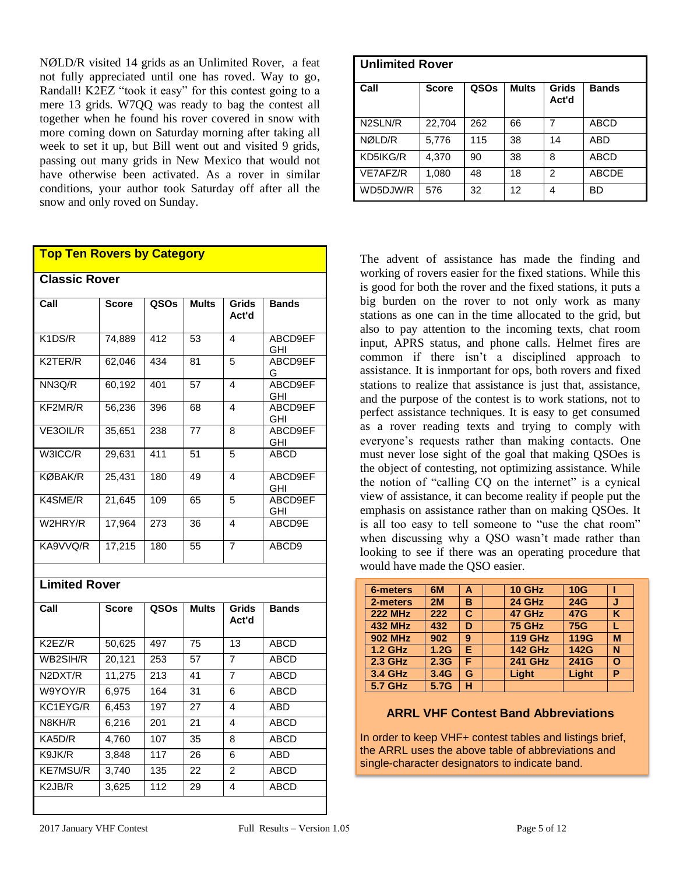NØLD/R visited 14 grids as an Unlimited Rover, a feat not fully appreciated until one has roved. Way to go, Randall! K2EZ "took it easy" for this contest going to a mere 13 grids. W7QQ was ready to bag the contest all together when he found his rover covered in snow with more coming down on Saturday morning after taking all week to set it up, but Bill went out and visited 9 grids, passing out many grids in New Mexico that would not have otherwise been activated. As a rover in similar conditions, your author took Saturday off after all the snow and only roved on Sunday.

## **Top Ten Rovers by Category**

**Classic Rover**

| <b>Classic Rover</b> |              |      |              |                         |                       |
|----------------------|--------------|------|--------------|-------------------------|-----------------------|
| Call                 | <b>Score</b> | QSOs | <b>Mults</b> | <b>Grids</b><br>Act'd   | <b>Bands</b>          |
| K1DS/R               | 74,889       | 412  | 53           | $\overline{\mathbf{A}}$ | ABCD9EF<br><b>GHI</b> |
| K2TER/R              | 62,046       | 434  | 81           | $\overline{5}$          | ABCD9EF<br>G          |
| NN3Q/R               | 60,192       | 401  | 57           | 4                       | ABCD9EF<br><b>GHI</b> |
| KF2MR/R              | 56,236       | 396  | 68           | $\overline{\mathbf{4}}$ | ABCD9EF<br>GHI        |
| VE3OIL/R             | 35,651       | 238  | 77           | 8                       | ABCD9EF<br>GHI        |
| W3ICC/R              | 29,631       | 411  | 51           | 5                       | <b>ABCD</b>           |
| <b>KØBAK/R</b>       | 25,431       | 180  | 49           | $\overline{\mathbf{4}}$ | ABCD9EF<br>GHI        |
| K4SME/R              | 21,645       | 109  | 65           | $\overline{5}$          | ABCD9EF<br><b>GHI</b> |
| W2HRY/R              | 17,964       | 273  | 36           | 4                       | ABCD9E                |
| KA9VVQ/R             | 17,215       | 180  | 55           | 7                       | ABCD9                 |
|                      |              |      |              |                         |                       |
| <b>Limited Rover</b> |              |      |              |                         |                       |
| Call                 | <b>Score</b> | QSOs | <b>Mults</b> | <b>Grids</b><br>Act'd   | <b>Bands</b>          |
| K2EZ/R               | 50,625       | 497  | 75           | 13                      | <b>ABCD</b>           |
| WB2SIH/R             | 20,121       | 253  | 57           | 7                       | <b>ABCD</b>           |
| N2DXT/R              | 11,275       | 213  | 41           | $\overline{7}$          | <b>ABCD</b>           |
| W9YOY/R              | 6,975        | 164  | 31           | 6                       | <b>ABCD</b>           |
| KC1EYG/R             | 6,453        | 197  | 27           | $\overline{\mathbf{A}}$ | <b>ABD</b>            |
| N8KH/R               | 6,216        | 201  | 21           | 4                       | <b>ABCD</b>           |
| KASD/R               | 4,760        | 107  | 35           | 8                       | <b>ABCD</b>           |

K9JK/R 3,848 117 26 6 ABD KE7MSU/R 3.740 135 22 2 ABCD K2JB/R 3,625 112 29 4 ABCD

| Unlimited Rover |              |      |              |                |              |
|-----------------|--------------|------|--------------|----------------|--------------|
| l Call          | <b>Score</b> | QSOs | <b>Mults</b> | Grids<br>Act'd | <b>Bands</b> |
| N2SLN/R         | 22,704       | 262  | 66           | 7              | <b>ABCD</b>  |
| NØLD/R          | 5,776        | 115  | 38           | 14             | <b>ABD</b>   |
| KD5IKG/R        | 4,370        | 90   | 38           | 8              | <b>ABCD</b>  |
| VE7AFZ/R        | 1,080        | 48   | 18           | 2              | <b>ABCDE</b> |
| WD5DJW/R        | 576          | 32   | 12           | 4              | BD           |

The advent of assistance has made the finding and working of rovers easier for the fixed stations. While this is good for both the rover and the fixed stations, it puts a big burden on the rover to not only work as many stations as one can in the time allocated to the grid, but also to pay attention to the incoming texts, chat room input, APRS status, and phone calls. Helmet fires are common if there isn't a disciplined approach to assistance. It is inmportant for ops, both rovers and fixed stations to realize that assistance is just that, assistance, and the purpose of the contest is to work stations, not to perfect assistance techniques. It is easy to get consumed as a rover reading texts and trying to comply with everyone's requests rather than making contacts. One must never lose sight of the goal that making QSOes is the object of contesting, not optimizing assistance. While the notion of "calling CQ on the internet" is a cynical view of assistance, it can become reality if people put the emphasis on assistance rather than on making QSOes. It is all too easy to tell someone to "use the chat room" when discussing why a QSO wasn't made rather than looking to see if there was an operating procedure that would have made the QSO easier.

| <b>6-meters</b> | 6M   | Α  | <b>10 GHz</b>  | 10G         |   |
|-----------------|------|----|----------------|-------------|---|
| 2-meters        | 2M   | в  | 24 GHz         | <b>24G</b>  | J |
| <b>222 MHz</b>  | 222  | C  | 47 GHz         | <b>47G</b>  | ĸ |
| <b>432 MHz</b>  | 432  | D  | <b>75 GHz</b>  | <b>75G</b>  |   |
| <b>902 MHz</b>  | 902  | 9  | <b>119 GHz</b> | <b>119G</b> | M |
| <b>1.2 GHz</b>  | 1.2G | E. | <b>142 GHz</b> | <b>142G</b> | N |
| 2.3 GHz         | 2.3G | F  | <b>241 GHz</b> | 241G        | O |
| 3.4 GHz         | 3.4G | G  | Light          | Light       | P |
| 5.7 GHz         | 5.7G | н  |                |             |   |

### **ARRL VHF Contest Band Abbreviations**

In order to keep VHF+ contest tables and listings brief, the ARRL uses the above table of abbreviations and single-character designators to indicate band.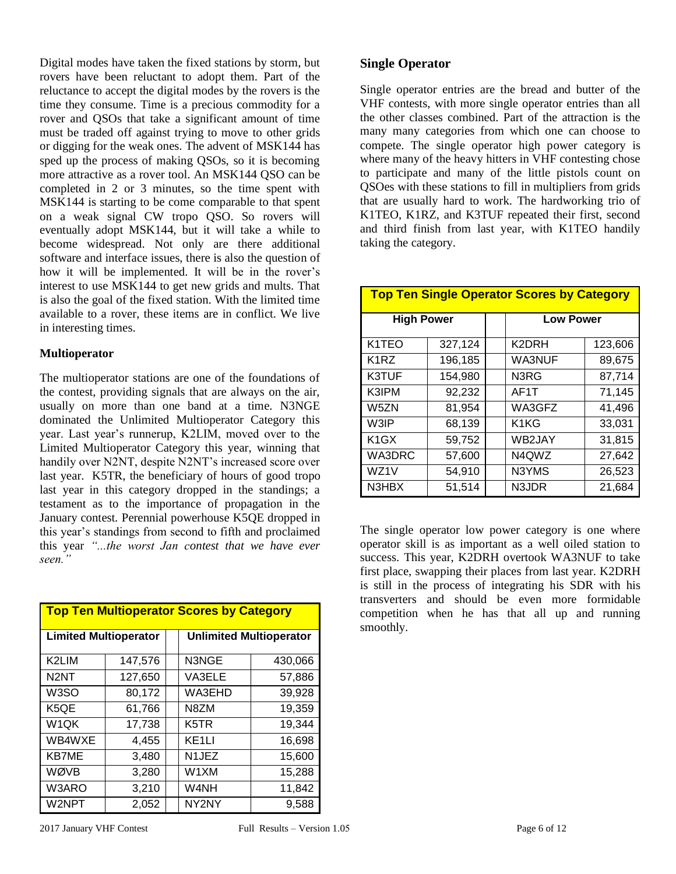Digital modes have taken the fixed stations by storm, but rovers have been reluctant to adopt them. Part of the reluctance to accept the digital modes by the rovers is the time they consume. Time is a precious commodity for a rover and QSOs that take a significant amount of time must be traded off against trying to move to other grids or digging for the weak ones. The advent of MSK144 has sped up the process of making QSOs, so it is becoming more attractive as a rover tool. An MSK144 QSO can be completed in 2 or 3 minutes, so the time spent with MSK144 is starting to be come comparable to that spent on a weak signal CW tropo QSO. So rovers will eventually adopt MSK144, but it will take a while to become widespread. Not only are there additional software and interface issues, there is also the question of how it will be implemented. It will be in the rover's interest to use MSK144 to get new grids and mults. That is also the goal of the fixed station. With the limited time available to a rover, these items are in conflict. We live in interesting times.

### **Multioperator**

The multioperator stations are one of the foundations of the contest, providing signals that are always on the air, usually on more than one band at a time. N3NGE dominated the Unlimited Multioperator Category this year. Last year's runnerup, K2LIM, moved over to the Limited Multioperator Category this year, winning that handily over N2NT, despite N2NT's increased score over last year. K5TR, the beneficiary of hours of good tropo last year in this category dropped in the standings; a testament as to the importance of propagation in the January contest. Perennial powerhouse K5QE dropped in this year's standings from second to fifth and proclaimed this year *"...the worst Jan contest that we have ever seen."*

| <b>Top Ten Multioperator Scores by Category</b> |         |  |                                |         |  |
|-------------------------------------------------|---------|--|--------------------------------|---------|--|
| <b>Limited Multioperator</b>                    |         |  | <b>Unlimited Multioperator</b> |         |  |
| K2LIM                                           | 147,576 |  | N3NGE                          | 430,066 |  |
| N <sub>2</sub> NT                               | 127,650 |  | VA3ELE                         | 57,886  |  |
| W <sub>3</sub> SO                               | 80,172  |  | WA3EHD                         | 39,928  |  |
| K5QE                                            | 61,766  |  | N8ZM                           | 19,359  |  |
| W <sub>1</sub> QK                               | 17,738  |  | K <sub>5</sub> TR              | 19,344  |  |
| WB4WXE                                          | 4,455   |  | KE <sub>1</sub> LI             | 16,698  |  |
| <b>KB7ME</b>                                    | 3,480   |  | N <sub>1</sub> JEZ             | 15,600  |  |
| WØVB                                            | 3,280   |  | W1XM                           | 15,288  |  |
| W3ARO                                           | 3,210   |  | W4NH                           | 11,842  |  |
| W2NPT                                           | 2,052   |  | NY2NY                          | 9,588   |  |

## **Single Operator**

Single operator entries are the bread and butter of the VHF contests, with more single operator entries than all the other classes combined. Part of the attraction is the many many categories from which one can choose to compete. The single operator high power category is where many of the heavy hitters in VHF contesting chose to participate and many of the little pistols count on QSOes with these stations to fill in multipliers from grids that are usually hard to work. The hardworking trio of K1TEO, K1RZ, and K3TUF repeated their first, second and third finish from last year, with K1TEO handily taking the category.

| <b>Top Ten Single Operator Scores by Category</b> |         |  |                               |         |
|---------------------------------------------------|---------|--|-------------------------------|---------|
| <b>High Power</b>                                 |         |  | <b>Low Power</b>              |         |
| K1TEO                                             | 327,124 |  | K2DRH                         | 123,606 |
| K <sub>1</sub> RZ                                 | 196,185 |  | <b>WA3NUF</b>                 | 89,675  |
| <b>K3TUF</b>                                      | 154,980 |  | N3RG                          | 87,714  |
| K3IPM                                             | 92,232  |  | AF <sub>1</sub> T             | 71,145  |
| W5ZN                                              | 81,954  |  | WA3GFZ                        | 41,496  |
| W3IP                                              | 68,139  |  | K <sub>1</sub> K <sub>G</sub> | 33,031  |
| K <sub>1</sub> GX                                 | 59,752  |  | WB2JAY                        | 31,815  |
| WA3DRC                                            | 57,600  |  | N4QWZ                         | 27,642  |
| WZ1V                                              | 54,910  |  | N3YMS                         | 26,523  |
| N3HBX                                             | 51,514  |  | N3JDR                         | 21,684  |

The single operator low power category is one where operator skill is as important as a well oiled station to success. This year, K2DRH overtook WA3NUF to take first place, swapping their places from last year. K2DRH is still in the process of integrating his SDR with his transverters and should be even more formidable competition when he has that all up and running smoothly.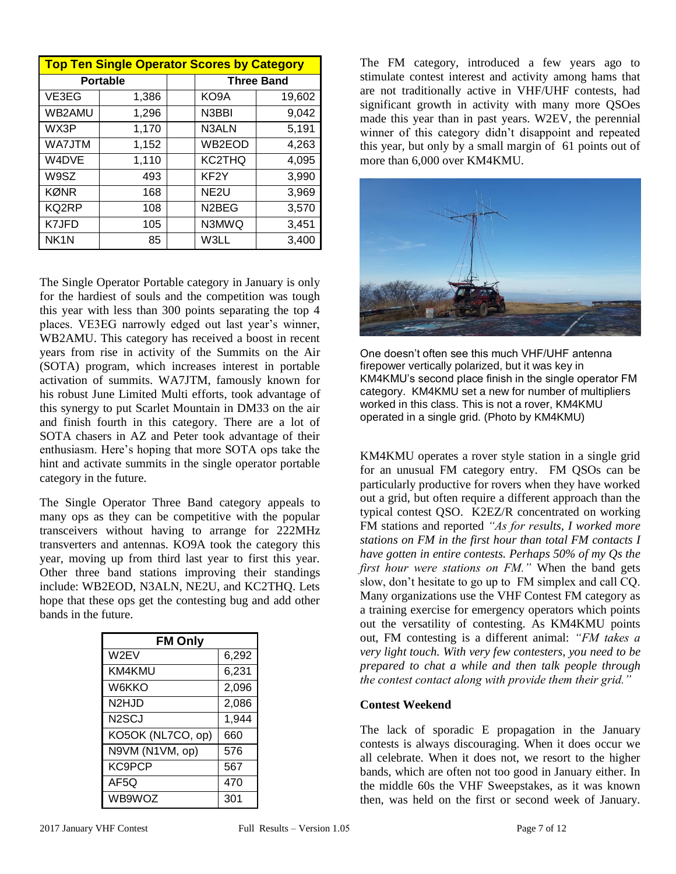| Top Ten Single Operator Scores by Category |                 |  |                    |        |  |
|--------------------------------------------|-----------------|--|--------------------|--------|--|
|                                            | <b>Portable</b> |  | <b>Three Band</b>  |        |  |
| VE3EG                                      | 1,386           |  | KO9A               | 19,602 |  |
| WB2AMU                                     | 1,296           |  | N3BBI              | 9,042  |  |
| WX3P                                       | 1,170           |  | N3ALN              | 5,191  |  |
| <b>WA7JTM</b>                              | 1,152           |  | WB2EOD             | 4,263  |  |
| W4DVE                                      | 1,110           |  | KC2THQ             | 4,095  |  |
| W9SZ                                       | 493             |  | KF <sub>2</sub> Y  | 3,990  |  |
| KØNR                                       | 168             |  | NE <sub>2U</sub>   | 3,969  |  |
| KQ2RP                                      | 108             |  | N <sub>2</sub> BEG | 3,570  |  |
| K7JFD                                      | 105             |  | N3MWQ              | 3,451  |  |
| NK <sub>1</sub> N                          | 85              |  | W3LL               | 3,400  |  |

The Single Operator Portable category in January is only for the hardiest of souls and the competition was tough this year with less than 300 points separating the top 4 places. VE3EG narrowly edged out last year's winner, WB2AMU. This category has received a boost in recent years from rise in activity of the Summits on the Air (SOTA) program, which increases interest in portable activation of summits. WA7JTM, famously known for his robust June Limited Multi efforts, took advantage of this synergy to put Scarlet Mountain in DM33 on the air and finish fourth in this category. There are a lot of SOTA chasers in AZ and Peter took advantage of their enthusiasm. Here's hoping that more SOTA ops take the hint and activate summits in the single operator portable category in the future.

The Single Operator Three Band category appeals to many ops as they can be competitive with the popular transceivers without having to arrange for 222MHz transverters and antennas. KO9A took the category this year, moving up from third last year to first this year. Other three band stations improving their standings include: WB2EOD, N3ALN, NE2U, and KC2THQ. Lets hope that these ops get the contesting bug and add other bands in the future.

| <b>FM Only</b>    |       |  |  |  |
|-------------------|-------|--|--|--|
| W2EV              | 6,292 |  |  |  |
| KM4KMU            | 6,231 |  |  |  |
| <b>W6KKO</b>      | 2,096 |  |  |  |
| N2HJD             | 2,086 |  |  |  |
| N2SCJ             | 1,944 |  |  |  |
| KO5OK (NL7CO, op) | 660   |  |  |  |
| N9VM (N1VM, op)   | 576   |  |  |  |
| KC9PCP            | 567   |  |  |  |
| AF5Q              | 470   |  |  |  |
| WB9WOZ            | 301   |  |  |  |

The FM category, introduced a few years ago to stimulate contest interest and activity among hams that are not traditionally active in VHF/UHF contests, had significant growth in activity with many more QSOes made this year than in past years. W2EV, the perennial winner of this category didn't disappoint and repeated this year, but only by a small margin of 61 points out of more than 6,000 over KM4KMU.



One doesn't often see this much VHF/UHF antenna firepower vertically polarized, but it was key in KM4KMU's second place finish in the single operator FM category. KM4KMU set a new for number of multipliers worked in this class. This is not a rover, KM4KMU operated in a single grid. (Photo by KM4KMU)

KM4KMU operates a rover style station in a single grid for an unusual FM category entry. FM QSOs can be particularly productive for rovers when they have worked out a grid, but often require a different approach than the typical contest QSO. K2EZ/R concentrated on working FM stations and reported *"As for results, I worked more stations on FM in the first hour than total FM contacts I have gotten in entire contests. Perhaps 50% of my Qs the first hour were stations on FM."* When the band gets slow, don't hesitate to go up to FM simplex and call CQ. Many organizations use the VHF Contest FM category as a training exercise for emergency operators which points out the versatility of contesting. As KM4KMU points out, FM contesting is a different animal: *"FM takes a very light touch. With very few contesters, you need to be prepared to chat a while and then talk people through the contest contact along with provide them their grid."*

### **Contest Weekend**

The lack of sporadic E propagation in the January contests is always discouraging. When it does occur we all celebrate. When it does not, we resort to the higher bands, which are often not too good in January either. In the middle 60s the VHF Sweepstakes, as it was known then, was held on the first or second week of January.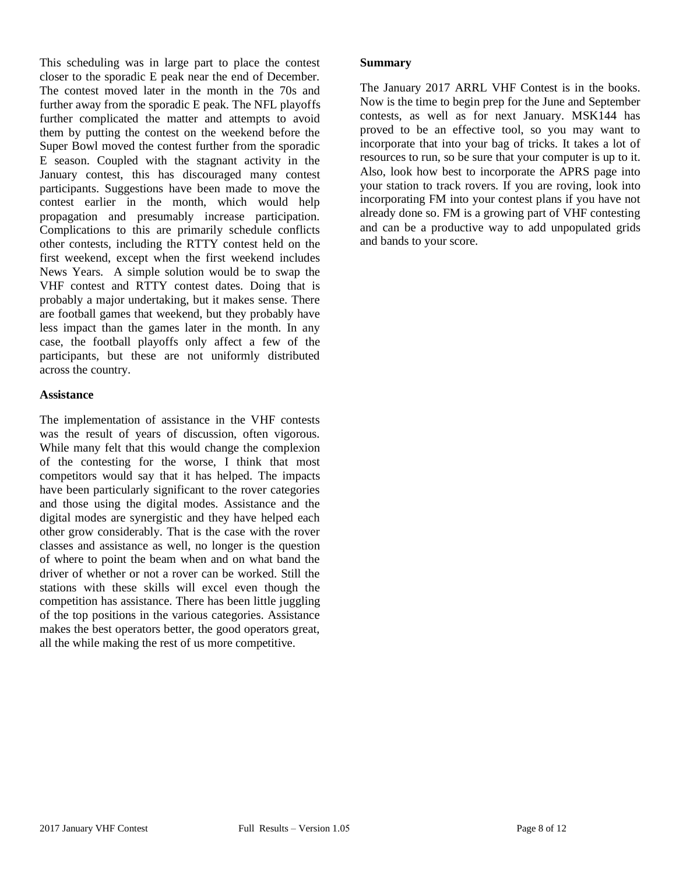This scheduling was in large part to place the contest closer to the sporadic E peak near the end of December. The contest moved later in the month in the 70s and further away from the sporadic E peak. The NFL playoffs further complicated the matter and attempts to avoid them by putting the contest on the weekend before the Super Bowl moved the contest further from the sporadic E season. Coupled with the stagnant activity in the January contest, this has discouraged many contest participants. Suggestions have been made to move the contest earlier in the month, which would help propagation and presumably increase participation. Complications to this are primarily schedule conflicts other contests, including the RTTY contest held on the first weekend, except when the first weekend includes News Years. A simple solution would be to swap the VHF contest and RTTY contest dates. Doing that is probably a major undertaking, but it makes sense. There are football games that weekend, but they probably have less impact than the games later in the month. In any case, the football playoffs only affect a few of the participants, but these are not uniformly distributed across the country.

#### **Assistance**

The implementation of assistance in the VHF contests was the result of years of discussion, often vigorous. While many felt that this would change the complexion of the contesting for the worse, I think that most competitors would say that it has helped. The impacts have been particularly significant to the rover categories and those using the digital modes. Assistance and the digital modes are synergistic and they have helped each other grow considerably. That is the case with the rover classes and assistance as well, no longer is the question of where to point the beam when and on what band the driver of whether or not a rover can be worked. Still the stations with these skills will excel even though the competition has assistance. There has been little juggling of the top positions in the various categories. Assistance makes the best operators better, the good operators great, all the while making the rest of us more competitive.

#### **Summary**

The January 2017 ARRL VHF Contest is in the books. Now is the time to begin prep for the June and September contests, as well as for next January. MSK144 has proved to be an effective tool, so you may want to incorporate that into your bag of tricks. It takes a lot of resources to run, so be sure that your computer is up to it. Also, look how best to incorporate the APRS page into your station to track rovers. If you are roving, look into incorporating FM into your contest plans if you have not already done so. FM is a growing part of VHF contesting and can be a productive way to add unpopulated grids and bands to your score.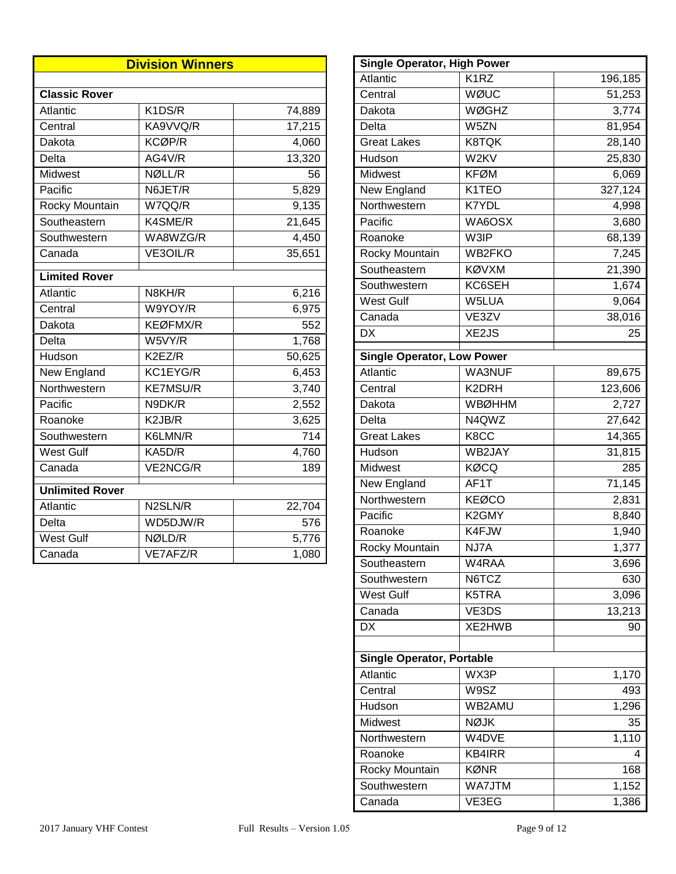| <b>Division Winners</b> |                 |                     |  |  |
|-------------------------|-----------------|---------------------|--|--|
|                         |                 |                     |  |  |
| <b>Classic Rover</b>    |                 |                     |  |  |
| Atlantic                | K1DS/R          | 74,889              |  |  |
| Central                 | KA9VVQ/R        | $\overline{17,215}$ |  |  |
| Dakota                  | KCØP/R          | 4,060               |  |  |
| Delta                   | AG4V/R          | 13,320              |  |  |
| Midwest                 | NØLL/R          | 56                  |  |  |
| Pacific                 | N6JET/R         | 5,829               |  |  |
| Rocky Mountain          | W7QQ/R          | 9,135               |  |  |
| Southeastern            | K4SME/R         | 21,645              |  |  |
| Southwestern            | WA8WZG/R        | 4,450               |  |  |
| Canada                  | VE3OIL/R        | 35,651              |  |  |
| <b>Limited Rover</b>    |                 |                     |  |  |
| Atlantic                | N8KH/R          | 6,216               |  |  |
| Central                 | W9YOY/R         | 6,975               |  |  |
| Dakota                  | <b>KEØFMX/R</b> | 552                 |  |  |
| Delta                   | W5VY/R          | 1,768               |  |  |
| Hudson                  | K2EZ/R          | 50,625              |  |  |
| New England             | KC1EYG/R        | 6,453               |  |  |
| Northwestern            | <b>KE7MSU/R</b> | 3,740               |  |  |
| Pacific                 | N9DK/R          | 2,552               |  |  |
| Roanoke                 | K2JB/R          | 3,625               |  |  |
| Southwestern            | K6LMN/R         | 714                 |  |  |
| <b>West Gulf</b>        | KA5D/R          | 4,760               |  |  |
| Canada                  | VE2NCG/R        | 189                 |  |  |
| <b>Unlimited Rover</b>  |                 |                     |  |  |
| Atlantic                | N2SLN/R         | 22,704              |  |  |
| Delta                   | WD5DJW/R        | 576                 |  |  |
| West Gulf               | NØLD/R          | 5,776               |  |  |
| Canada                  | VE7AFZ/R        | 1,080               |  |  |

| <b>Single Operator, High Power</b> |                    |                    |  |  |  |  |  |  |  |  |
|------------------------------------|--------------------|--------------------|--|--|--|--|--|--|--|--|
| Atlantic                           | K <sub>1</sub> RZ  | 196,185            |  |  |  |  |  |  |  |  |
| Central                            | WØUC               | 51,253             |  |  |  |  |  |  |  |  |
| Dakota                             | <b>WØGHZ</b>       | $\overline{3,774}$ |  |  |  |  |  |  |  |  |
| Delta                              | W5ZN               | 81,954             |  |  |  |  |  |  |  |  |
| <b>Great Lakes</b>                 | <b>K8TQK</b>       | 28,140             |  |  |  |  |  |  |  |  |
| Hudson                             | W2KV               | 25,830             |  |  |  |  |  |  |  |  |
| <b>Midwest</b>                     | <b>KFØM</b>        | 6,069              |  |  |  |  |  |  |  |  |
| New England                        | K1TEO              | 327,124            |  |  |  |  |  |  |  |  |
| Northwestern                       | <b>K7YDL</b>       | 4,998              |  |  |  |  |  |  |  |  |
| Pacific                            | WA6OSX             | 3,680              |  |  |  |  |  |  |  |  |
| Roanoke                            | W3IP               | 68,139             |  |  |  |  |  |  |  |  |
| Rocky Mountain                     | WB2FKO             | 7,245              |  |  |  |  |  |  |  |  |
| Southeastern                       | <b>KØVXM</b>       | 21,390             |  |  |  |  |  |  |  |  |
| Southwestern                       | KC6SEH             | 1,674              |  |  |  |  |  |  |  |  |
| <b>West Gulf</b>                   | W5LUA              | 9,064              |  |  |  |  |  |  |  |  |
| Canada                             | VE3ZV              | 38,016             |  |  |  |  |  |  |  |  |
| <b>DX</b>                          | XE2JS              | 25                 |  |  |  |  |  |  |  |  |
|                                    |                    |                    |  |  |  |  |  |  |  |  |
| <b>Single Operator, Low Power</b>  |                    |                    |  |  |  |  |  |  |  |  |
| Atlantic                           | WA3NUF             | 89,675             |  |  |  |  |  |  |  |  |
| Central                            | K2DRH              | 123,606            |  |  |  |  |  |  |  |  |
| Dakota                             | <b>WBØHHM</b>      | 2,727              |  |  |  |  |  |  |  |  |
| Delta                              | N4QWZ              | 27,642             |  |  |  |  |  |  |  |  |
| <b>Great Lakes</b>                 | K8CC               | 14,365             |  |  |  |  |  |  |  |  |
| Hudson                             | WB2JAY             | 31,815             |  |  |  |  |  |  |  |  |
| Midwest                            | KØCQ               | 285                |  |  |  |  |  |  |  |  |
| New England                        | AF1T               | 71,145             |  |  |  |  |  |  |  |  |
| Northwestern                       | <b>KEØCO</b>       | 2,831              |  |  |  |  |  |  |  |  |
| Pacific                            | K <sub>2</sub> GMY | 8,840              |  |  |  |  |  |  |  |  |
| Roanoke                            | K4FJW              | 1,940              |  |  |  |  |  |  |  |  |
| Rocky Mountain                     | NJ7A               | 1,377              |  |  |  |  |  |  |  |  |
| Southeastern                       | W4RAA              | 3,696              |  |  |  |  |  |  |  |  |
| Southwestern                       | N6TCZ              | 630                |  |  |  |  |  |  |  |  |
| <b>West Gulf</b>                   | K5TRA              | 3,096              |  |  |  |  |  |  |  |  |
| Canada                             | VE3DS              | 13,213             |  |  |  |  |  |  |  |  |
| <b>DX</b>                          | XE2HWB             | 90                 |  |  |  |  |  |  |  |  |
|                                    |                    |                    |  |  |  |  |  |  |  |  |
| <b>Single Operator, Portable</b>   |                    |                    |  |  |  |  |  |  |  |  |
| Atlantic                           | WX3P               | 1,170              |  |  |  |  |  |  |  |  |
| Central                            | W9SZ               | 493                |  |  |  |  |  |  |  |  |
| Hudson                             | WB2AMU             | 1,296              |  |  |  |  |  |  |  |  |
| Midwest                            | <b>NØJK</b>        | 35                 |  |  |  |  |  |  |  |  |
| Northwestern                       | W4DVE              | 1,110              |  |  |  |  |  |  |  |  |
| Roanoke                            | KB4IRR             | 4                  |  |  |  |  |  |  |  |  |
| Rocky Mountain                     | <b>KØNR</b>        | 168                |  |  |  |  |  |  |  |  |
| Southwestern                       | WA7JTM             | 1,152              |  |  |  |  |  |  |  |  |
| Canada                             | VE3EG              | 1,386              |  |  |  |  |  |  |  |  |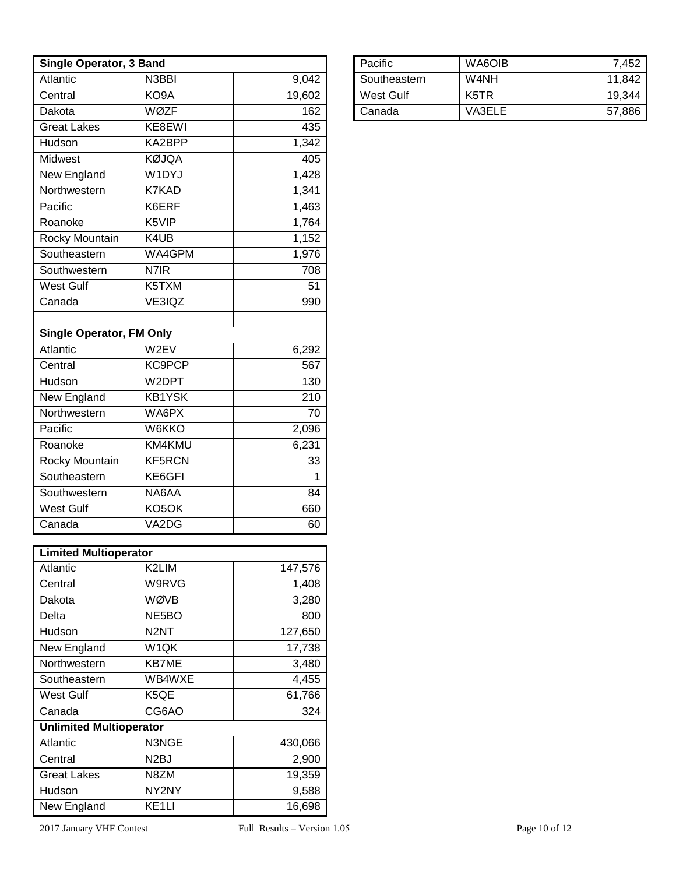| Single Operator, 3 Band         |                                |         |  |  |  |  |  |  |
|---------------------------------|--------------------------------|---------|--|--|--|--|--|--|
| Atlantic                        | N <sub>3</sub> BBI             | 9,042   |  |  |  |  |  |  |
| Central                         | KO9A                           | 19,602  |  |  |  |  |  |  |
| Dakota                          | <b>WØZF</b>                    | 162     |  |  |  |  |  |  |
| Great Lakes                     | KE8EWI                         | 435     |  |  |  |  |  |  |
| Hudson                          | KA2BPP                         | 1,342   |  |  |  |  |  |  |
| Midwest                         | <b>KØJQA</b>                   | 405     |  |  |  |  |  |  |
| New England                     | W1DYJ                          | 1,428   |  |  |  |  |  |  |
| Northwestern                    | <b>K7KAD</b>                   | 1,341   |  |  |  |  |  |  |
| Pacific                         | K6ERF                          | 1,463   |  |  |  |  |  |  |
| Roanoke                         | K5VIP                          | 1,764   |  |  |  |  |  |  |
| Rocky Mountain                  | K4UB                           | 1,152   |  |  |  |  |  |  |
| Southeastern                    | WA4GPM                         | 1,976   |  |  |  |  |  |  |
| Southwestern                    | N7IR                           | 708     |  |  |  |  |  |  |
| <b>West Gulf</b>                | K5TXM                          | 51      |  |  |  |  |  |  |
| Canada                          | VE3IQZ                         | 990     |  |  |  |  |  |  |
|                                 |                                |         |  |  |  |  |  |  |
| <b>Single Operator, FM Only</b> |                                |         |  |  |  |  |  |  |
| Atlantic                        | W2EV                           | 6,292   |  |  |  |  |  |  |
| Central                         | <b>KC9PCP</b>                  | 567     |  |  |  |  |  |  |
| Hudson                          | W2DPT                          | 130     |  |  |  |  |  |  |
| New England                     | <b>KB1YSK</b>                  | 210     |  |  |  |  |  |  |
| Northwestern                    | WA6PX                          | 70      |  |  |  |  |  |  |
| Pacific                         | W6KKO                          | 2,096   |  |  |  |  |  |  |
| Roanoke                         | KM4KMU                         | 6,231   |  |  |  |  |  |  |
| Rocky Mountain                  | KF5RCN                         | 33      |  |  |  |  |  |  |
| Southeastern                    | KE6GFI                         | 1       |  |  |  |  |  |  |
| Southwestern                    | NA6AA                          | 84      |  |  |  |  |  |  |
| West Gulf                       | KO5OK                          | 660     |  |  |  |  |  |  |
| Canada                          | VA <sub>2</sub> D <sub>G</sub> | 60      |  |  |  |  |  |  |
| <b>Limited Multioperator</b>    |                                |         |  |  |  |  |  |  |
| Atlantic                        | K2LIM                          | 147,576 |  |  |  |  |  |  |
| Central                         | W9RVG                          | 1,408   |  |  |  |  |  |  |
| Dakota                          | WØVB                           | 3,280   |  |  |  |  |  |  |
| Delta                           | NE <sub>5</sub> BO             | 800     |  |  |  |  |  |  |
| Hudson                          | N <sub>2</sub> NT              | 127,650 |  |  |  |  |  |  |
| New England                     | W1QK                           | 17,738  |  |  |  |  |  |  |
| Northwestern                    | KB7ME                          | 3,480   |  |  |  |  |  |  |
| Southeastern                    | WB4WXE                         | 4,455   |  |  |  |  |  |  |
| <b>West Gulf</b>                | K <sub>5</sub> QE              | 61,766  |  |  |  |  |  |  |
| Canada                          | CG6AO                          | 324     |  |  |  |  |  |  |
| <b>Unlimited Multioperator</b>  |                                |         |  |  |  |  |  |  |
| Atlantic                        | N3NGE                          | 430,066 |  |  |  |  |  |  |
| Central                         | N <sub>2</sub> BJ              | 2,900   |  |  |  |  |  |  |
| <b>Great Lakes</b>              | N8ZM                           | 19,359  |  |  |  |  |  |  |
| Hudson                          | NY2NY                          | 9,588   |  |  |  |  |  |  |
| New England                     | KE <sub>1</sub> LI             | 16,698  |  |  |  |  |  |  |

| Pacific      | WA6OIB | 7,452  |
|--------------|--------|--------|
| Southeastern | W4NH   | 11.842 |
| West Gulf    | K5TR   | 19.344 |
| Canada       | VA3ELE | 57,886 |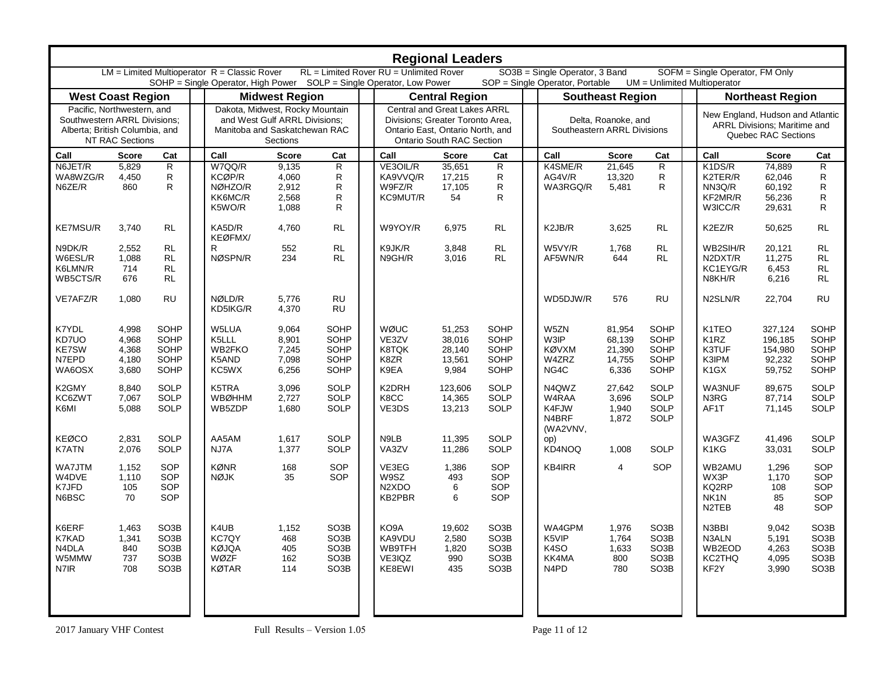| <b>Regional Leaders</b>                                                                                         |                                                                                                                                                                                                                                                                                                            |                                                                                                       |  |                                                                                                               |                                           |                                                                                                       |  |                                                                                                                                          |                                               |                                                                                                       |  |                                               |                                               |                                                                                                       |                                                                                         |                                                   |                                                                                                       |
|-----------------------------------------------------------------------------------------------------------------|------------------------------------------------------------------------------------------------------------------------------------------------------------------------------------------------------------------------------------------------------------------------------------------------------------|-------------------------------------------------------------------------------------------------------|--|---------------------------------------------------------------------------------------------------------------|-------------------------------------------|-------------------------------------------------------------------------------------------------------|--|------------------------------------------------------------------------------------------------------------------------------------------|-----------------------------------------------|-------------------------------------------------------------------------------------------------------|--|-----------------------------------------------|-----------------------------------------------|-------------------------------------------------------------------------------------------------------|-----------------------------------------------------------------------------------------|---------------------------------------------------|-------------------------------------------------------------------------------------------------------|
|                                                                                                                 | RL = Limited Rover RU = Unlimited Rover<br>$LM = Limited Multioperator R = Classic Rover$<br>SO3B = Single Operator, 3 Band<br>SOFM = Single Operator, FM Only<br>SOHP = Single Operator, High Power  SOLP = Single Operator, Low Power<br>UM = Unlimited Multioperator<br>SOP = Single Operator, Portable |                                                                                                       |  |                                                                                                               |                                           |                                                                                                       |  |                                                                                                                                          |                                               |                                                                                                       |  |                                               |                                               |                                                                                                       |                                                                                         |                                                   |                                                                                                       |
| <b>West Coast Region</b>                                                                                        |                                                                                                                                                                                                                                                                                                            |                                                                                                       |  |                                                                                                               | <b>Midwest Region</b>                     |                                                                                                       |  |                                                                                                                                          | <b>Central Region</b>                         |                                                                                                       |  |                                               | <b>Southeast Region</b>                       |                                                                                                       |                                                                                         | <b>Northeast Region</b>                           |                                                                                                       |
| Pacific. Northwestern, and<br>Southwestern ARRL Divisions;<br>Alberta; British Columbia, and<br>NT RAC Sections |                                                                                                                                                                                                                                                                                                            |                                                                                                       |  | Dakota, Midwest, Rocky Mountain<br>and West Gulf ARRL Divisions:<br>Manitoba and Saskatchewan RAC<br>Sections |                                           |                                                                                                       |  | Central and Great Lakes ARRL<br>Divisions; Greater Toronto Area,<br>Ontario East, Ontario North, and<br><b>Ontario South RAC Section</b> |                                               |                                                                                                       |  | Southeastern ARRL Divisions                   | Delta, Roanoke, and                           |                                                                                                       | New England, Hudson and Atlantic<br>ARRL Divisions; Maritime and<br>Quebec RAC Sections |                                                   |                                                                                                       |
| Call                                                                                                            | <b>Score</b>                                                                                                                                                                                                                                                                                               | Cat                                                                                                   |  | Call                                                                                                          | <b>Score</b>                              | Cat                                                                                                   |  | Call                                                                                                                                     | <b>Score</b>                                  | Cat                                                                                                   |  | Call                                          | <b>Score</b>                                  | Cat                                                                                                   | Call                                                                                    | <b>Score</b>                                      | Cat                                                                                                   |
| N6JET/R<br>WA8WZG/R<br>N6ZE/R                                                                                   | 5,829<br>4,450<br>860                                                                                                                                                                                                                                                                                      | ${\sf R}$<br>R<br>R                                                                                   |  | W7QQ/R<br>KCØP/R<br>NØHZO/R<br>KK6MC/R<br>K5WO/R                                                              | 9,135<br>4,060<br>2,912<br>2,568<br>1,088 | R<br>R<br>R<br>R<br>R                                                                                 |  | VE3OIL/R<br>KA9VVQ/R<br>W9FZ/R<br>KC9MUT/R                                                                                               | 35,651<br>17,215<br>17,105<br>54              | R<br>R<br>R<br>R                                                                                      |  | K4SME/R<br>AG4V/R<br>WA3RGQ/R                 | 21,645<br>13,320<br>5,481                     | R<br>R<br>$\mathsf{R}$                                                                                | K1DS/R<br>K2TER/R<br>NN3Q/R<br>KF2MR/R<br>W3ICC/R                                       | 74,889<br>62,046<br>60,192<br>56,236<br>29,631    | R<br>R<br>$\mathsf R$<br>${\sf R}$<br>${\sf R}$                                                       |
| <b>KE7MSU/R</b>                                                                                                 | 3,740                                                                                                                                                                                                                                                                                                      | <b>RL</b>                                                                                             |  | KA5D/R                                                                                                        | 4,760                                     | <b>RL</b>                                                                                             |  | W9YOY/R                                                                                                                                  | 6,975                                         | <b>RL</b>                                                                                             |  | K2JB/R                                        | 3,625                                         | <b>RL</b>                                                                                             | K2EZ/R                                                                                  | 50,625                                            | <b>RL</b>                                                                                             |
| N9DK/R<br>W6ESL/R<br>K6LMN/R<br>WB5CTS/R                                                                        | 2,552<br>1,088<br>714<br>676                                                                                                                                                                                                                                                                               | <b>RL</b><br>RL<br><b>RL</b><br><b>RL</b>                                                             |  | KEØFMX/<br>R<br>NØSPN/R                                                                                       | 552<br>234                                | <b>RL</b><br>RL                                                                                       |  | K9JK/R<br>N9GH/R                                                                                                                         | 3,848<br>3,016                                | <b>RL</b><br>RL                                                                                       |  | W5VY/R<br>AF5WN/R                             | 1,768<br>644                                  | <b>RL</b><br><b>RL</b>                                                                                | WB2SIH/R<br>N2DXT/R<br>KC1EYG/R<br>N8KH/R                                               | 20,121<br>11,275<br>6,453<br>6,216                | <b>RL</b><br><b>RL</b><br><b>RL</b><br><b>RL</b>                                                      |
| VE7AFZ/R                                                                                                        | 1,080                                                                                                                                                                                                                                                                                                      | <b>RU</b>                                                                                             |  | NØLD/R<br>KD5IKG/R                                                                                            | 5,776<br>4,370                            | <b>RU</b><br><b>RU</b>                                                                                |  |                                                                                                                                          |                                               |                                                                                                       |  | WD5DJW/R                                      | 576                                           | <b>RU</b>                                                                                             | N2SLN/R                                                                                 | 22,704                                            | <b>RU</b>                                                                                             |
| K7YDL<br>KD7UO<br><b>KE7SW</b><br>N7EPD<br>WA6OSX                                                               | 4,998<br>4,968<br>4,368<br>4,180<br>3,680                                                                                                                                                                                                                                                                  | SOHP<br>SOHP<br>SOHP<br>SOHP<br>SOHP                                                                  |  | W5LUA<br>K5LLL<br>WB2FKO<br>K5AND<br>KC5WX                                                                    | 9,064<br>8,901<br>7,245<br>7,098<br>6,256 | SOHP<br>SOHP<br>SOHP<br>SOHP<br>SOHP                                                                  |  | WØUC<br>VE3ZV<br>K8TQK<br>K8ZR<br>K9EA                                                                                                   | 51,253<br>38,016<br>28,140<br>13,561<br>9,984 | SOHP<br>SOHP<br>SOHP<br>SOHP<br>SOHP                                                                  |  | W5ZN<br>W3IP<br><b>KØVXM</b><br>W4ZRZ<br>NG4C | 81,954<br>68,139<br>21,390<br>14,755<br>6,336 | SOHP<br>SOHP<br>SOHP<br>SOHP<br>SOHP                                                                  | K1TEO<br>K <sub>1</sub> RZ<br>K3TUF<br>K3IPM<br>K <sub>1</sub> GX                       | 327.124<br>196,185<br>154,980<br>92,232<br>59,752 | SOHP<br>SOHP<br>SOHP<br>SOHP<br>SOHP                                                                  |
| K2GMY<br>KC6ZWT<br>K6MI                                                                                         | 8,840<br>7,067<br>5,088                                                                                                                                                                                                                                                                                    | <b>SOLP</b><br>SOLP<br>SOLP                                                                           |  | K5TRA<br><b>WBØHHM</b><br>WB5ZDP                                                                              | 3,096<br>2,727<br>1,680                   | SOLP<br>SOLP<br><b>SOLP</b>                                                                           |  | K2DRH<br>K8CC<br>VE3DS                                                                                                                   | 123,606<br>14,365<br>13,213                   | SOLP<br>SOLP<br>SOLP                                                                                  |  | N4QWZ<br>W4RAA<br>K4FJW<br>N4BRF<br>(WA2VNV,  | 27,642<br>3,696<br>1,940<br>1,872             | SOLP<br>SOLP<br>SOLP<br>SOLP                                                                          | <b>WA3NUF</b><br>N3RG<br>AF1T                                                           | 89,675<br>87,714<br>71,145                        | SOLP<br>SOLP<br>SOLP                                                                                  |
| <b>KEØCO</b><br>K7ATN                                                                                           | 2,831<br>2,076                                                                                                                                                                                                                                                                                             | SOLP<br>SOLP                                                                                          |  | AA5AM<br>NJ7A                                                                                                 | 1,617<br>1,377                            | <b>SOLP</b><br>SOLP                                                                                   |  | N9LB<br>VA3ZV                                                                                                                            | 11,395<br>11,286                              | SOLP<br>SOLP                                                                                          |  | op)<br>KD4NOQ                                 | 1,008                                         | SOLP                                                                                                  | WA3GFZ<br>K1KG                                                                          | 41,496<br>33,031                                  | SOLP<br>SOLP                                                                                          |
| WA7JTM<br>W4DVE<br>K7JFD<br>N6BSC                                                                               | 1,152<br>1,110<br>105<br>70                                                                                                                                                                                                                                                                                | SOP<br>SOP<br>SOP<br>SOP                                                                              |  | <b>KØNR</b><br><b>NØJK</b>                                                                                    | 168<br>35                                 | SOP<br>SOP                                                                                            |  | VE3EG<br>W9SZ<br>N <sub>2</sub> X <sub>D</sub> O<br>KB2PBR                                                                               | 1,386<br>493<br>6<br>6                        | SOP<br>SOP<br>SOP<br>SOP                                                                              |  | KB4IRR                                        | $\overline{4}$                                | SOP                                                                                                   | WB2AMU<br>WX3P<br>KQ2RP<br>NK <sub>1</sub> N<br>N2TEB                                   | 1,296<br>1,170<br>108<br>85<br>48                 | SOP<br>SOP<br>SOP<br>SOP<br>SOP                                                                       |
| K6ERF<br>K7KAD<br>N4DLA<br>W5MMW<br>N7IR                                                                        | 1,463<br>1,341<br>840<br>737<br>708                                                                                                                                                                                                                                                                        | SO <sub>3</sub> B<br>SO <sub>3</sub> B<br>SO <sub>3</sub> B<br>SO <sub>3</sub> B<br>SO <sub>3</sub> B |  | K4UB<br>KC7QY<br><b>KØJQA</b><br>WØZF<br><b>KØTAR</b>                                                         | 1,152<br>468<br>405<br>162<br>114         | SO <sub>3</sub> B<br>SO <sub>3</sub> B<br>SO <sub>3</sub> B<br>SO <sub>3</sub> B<br>SO <sub>3</sub> B |  | KO9A<br>KA9VDU<br>WB9TFH<br>VE3IQZ<br>KE8EWI                                                                                             | 19,602<br>2,580<br>1,820<br>990<br>435        | SO <sub>3</sub> B<br>SO <sub>3</sub> B<br>SO <sub>3</sub> B<br>SO <sub>3</sub> B<br>SO <sub>3</sub> B |  | WA4GPM<br>K5VIP<br>K4SO<br>KK4MA<br>N4PD      | 1,976<br>1,764<br>1,633<br>800<br>780         | SO <sub>3</sub> B<br>SO <sub>3</sub> B<br>SO <sub>3</sub> B<br>SO <sub>3</sub> B<br>SO <sub>3</sub> B | N3BBI<br>N3ALN<br>WB2EOD<br>KC2THQ<br>KF <sub>2</sub> Y                                 | 9,042<br>5,191<br>4,263<br>4,095<br>3,990         | SO <sub>3</sub> B<br>SO <sub>3</sub> B<br>SO <sub>3</sub> B<br>SO <sub>3</sub> B<br>SO <sub>3</sub> B |
| 2017 January VHF Contest                                                                                        |                                                                                                                                                                                                                                                                                                            |                                                                                                       |  |                                                                                                               | Full Results - Version 1.05               |                                                                                                       |  |                                                                                                                                          |                                               |                                                                                                       |  | Page 11 of 12                                 |                                               |                                                                                                       |                                                                                         |                                                   |                                                                                                       |